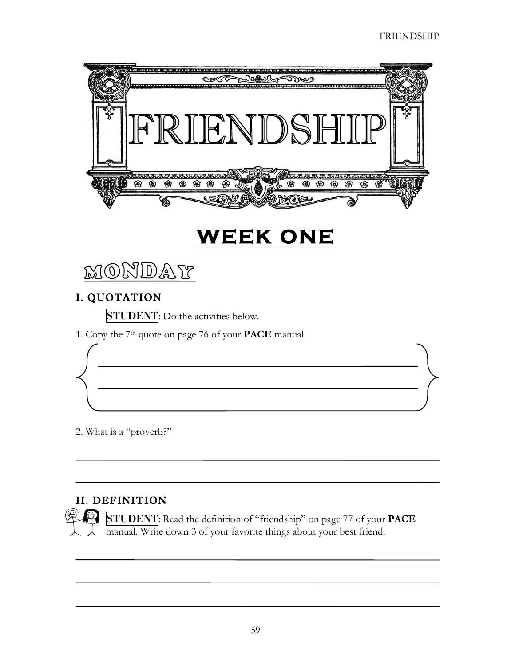

# **WEEK ONE**



#### I. QUOTATION

**STUDENT**: Do the activities below.

1. Copy the 7th quote on page 76 of your **PACE** manual.

2. What is a "proverb?"

## II. DEFINITION

**STUDENT**: Read the definition of "friendship" on page 77 of your **PACE** manual. Write down 3 of your favorite things about your best friend.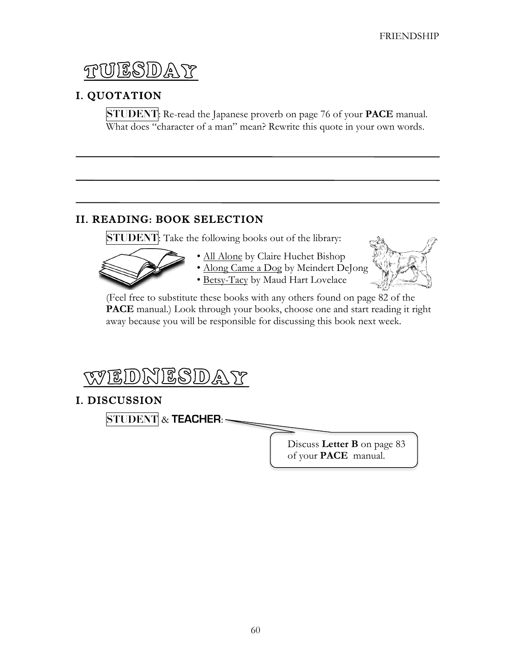ESDA Y

## I. QUOTATION

**STUDENT**: Re-read the Japanese proverb on page 76 of your **PACE** manual. What does "character of a man" mean? Rewrite this quote in your own words.

### II. READING: BOOK SELECTION

**STUDENT**: Take the following books out of the library:



- All Alone by Claire Huchet Bishop
- Along Came a Dog by Meindert DeJong
- Betsy-Tacy by Maud Hart Lovelace



(Feel free to substitute these books with any others found on page 82 of the **PACE** manual.) Look through your books, choose one and start reading it right away because you will be responsible for discussing this book next week.



## I. DISCUSSION

**STUDENT** & **TEACHER**:

Discuss **Letter B** on page 83 of your **PACE** manual.